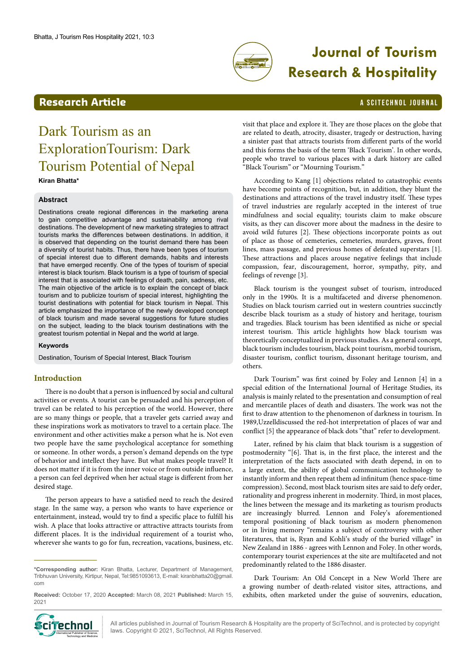

# **Journal of Tourism Research & Hospitality**

## **Research Article And Article A SCITECHNOL JOURNAL**

# Dark Tourism as an ExplorationTourism: Dark Tourism Potential of Nepal **Kiran Bhatta\***

#### **Abstract**

Destinations create regional differences in the marketing arena to gain competitive advantage and sustainability among rival destinations. The development of new marketing strategies to attract tourists marks the differences between destinations. In addition, it is observed that depending on the tourist demand there has been a diversity of tourist habits. Thus, there have been types of tourism of special interest due to different demands, habits and interests that have emerged recently. One of the types of tourism of special interest is black tourism. Black tourism is a type of tourism of special interest that is associated with feelings of death, pain, sadness, etc. The main objective of the article is to explain the concept of black tourism and to publicize tourism of special interest, highlighting the tourist destinations with potential for black tourism in Nepal. This article emphasized the importance of the newly developed concept of black tourism and made several suggestions for future studies on the subject, leading to the black tourism destinations with the greatest tourism potential in Nepal and the world at large.

#### **Keywords**

Destination, Tourism of Special Interest, Black Tourism

### **Introduction**

There is no doubt that a person is influenced by social and cultural activities or events. A tourist can be persuaded and his perception of travel can be related to his perception of the world. However, there are so many things or people, that a traveler gets carried away and these inspirations work as motivators to travel to a certain place. The environment and other activities make a person what he is. Not even two people have the same psychological acceptance for something or someone. In other words, a person's demand depends on the type of behavior and intellect they have. But what makes people travel? It does not matter if it is from the inner voice or from outside influence, a person can feel deprived when her actual stage is different from her desired stage.

The person appears to have a satisfied need to reach the desired stage. In the same way, a person who wants to have experience or entertainment, instead, would try to find a specific place to fulfill his wish. A place that looks attractive or attractive attracts tourists from different places. It is the individual requirement of a tourist who, wherever she wants to go for fun, recreation, vacations, business, etc.

iTechnol International Publisher of Science, Technology and Medicine

visit that place and explore it. They are those places on the globe that are related to death, atrocity, disaster, tragedy or destruction, having a sinister past that attracts tourists from different parts of the world and this forms the basis of the term 'Black Tourism'. In other words, people who travel to various places with a dark history are called "Black Tourism" or "Mourning Tourism."

According to Kang [1] objections related to catastrophic events have become points of recognition, but, in addition, they blunt the destinations and attractions of the travel industry itself. These types of travel industries are regularly accepted in the interest of true mindfulness and social equality; tourists claim to make obscure visits, as they can discover more about the madness in the desire to avoid wild futures [2]. These objections incorporate points as out of place as those of cemeteries, cemeteries, murders, graves, front lines, mass passage, and previous homes of defeated superstars [1]. These attractions and places arouse negative feelings that include compassion, fear, discouragement, horror, sympathy, pity, and feelings of revenge [3].

Black tourism is the youngest subset of tourism, introduced only in the 1990s. It is a multifaceted and diverse phenomenon. Studies on black tourism carried out in western countries succinctly describe black tourism as a study of history and heritage, tourism and tragedies. Black tourism has been identified as niche or special interest tourism. This article highlights how black tourism was theoretically conceptualized in previous studies. As a general concept, black tourism includes tourism, black point tourism, morbid tourism, disaster tourism, conflict tourism, dissonant heritage tourism, and others.

Dark Tourism" was first coined by Foley and Lennon [4] in a special edition of the International Journal of Heritage Studies, its analysis is mainly related to the presentation and consumption of real and mercantile places of death and disasters. The work was not the first to draw attention to the phenomenon of darkness in tourism. In 1989,Uzzelldiscussed the red-hot interpretation of places of war and conflict [5] the appearance of black dots "that" refer to development.

Later, refined by his claim that black tourism is a suggestion of postmodernity "[6]. That is, in the first place, the interest and the interpretation of the facts associated with death depend, in on to a large extent, the ability of global communication technology to instantly inform and then repeat them ad infinitum (hence space-time compression). Second, most black tourism sites are said to defy order, rationality and progress inherent in modernity. Third, in most places, the lines between the message and its marketing as tourism products are increasingly blurred. Lennon and Foley's aforementioned temporal positioning of black tourism as modern phenomenon or in living memory "remains a subject of controversy with other literatures, that is, Ryan and Kohli's study of the buried village" in New Zealand in 1886 - agrees with Lennon and Foley. In other words, contemporary tourist experiences at the site are multifaceted and not predominantly related to the 1886 disaster.

Dark Tourism: An Old Concept in a New World There are a growing number of death-related visitor sites, attractions, and exhibits, often marketed under the guise of souvenirs, education,

All articles published in Journal of Tourism Research & Hospitality are the property of SciTechnol, and is protected by copyright laws. Copyright © 2021, SciTechnol, All Rights Reserved.

**<sup>\*</sup>Corresponding author:** Kiran Bhatta, Lecturer, Department of Management, Tribhuvan University, Kirtipur, Nepal, Tel:9851093613, E-mail: kiranbhatta20@gmail. com

**Received:** October 17, 2020 **Accepted:** March 08, 2021 **Published:** March 15, 2021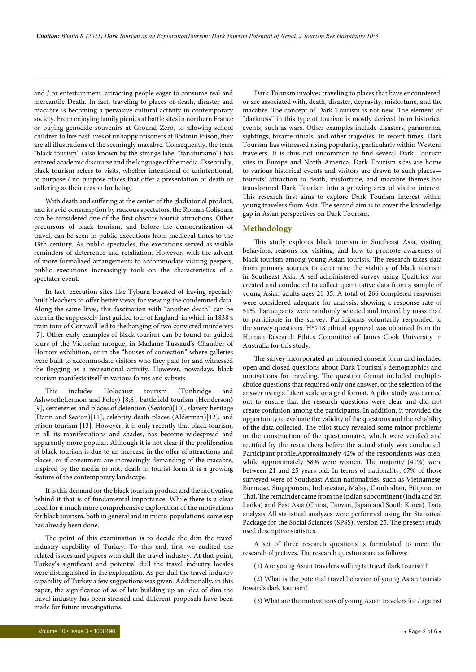and / or entertainment, attracting people eager to consume real and mercantile Death. In fact, traveling to places of death, disaster and macabre is becoming a pervasive cultural activity in contemporary society. From enjoying family picnics at battle sites in northern France or buying genocide souvenirs at Ground Zero, to allowing school children to live past lives of unhappy prisoners at Bodmin Prison, they are all illustrations of the seemingly macabre. Consequently, the term "black tourism" (also known by the strange label "tanaturismo") has entered academic discourse and the language of the media. Essentially, black tourism refers to visits, whether intentional or unintentional, to purpose / no-purpose places that offer a presentation of death or suffering as their reason for being.

With death and suffering at the center of the gladiatorial product, and its avid consumption by raucous spectators, the Roman Coliseum can be considered one of the first obscure tourist attractions. Other precursors of black tourism, and before the democratization of travel, can be seen in public executions from medieval times to the 19th century. As public spectacles, the executions served as visible reminders of deterrence and retaliation. However, with the advent of more formalized arrangements to accommodate visiting peepers, public executions increasingly took on the characteristics of a spectator event.

In fact, execution sites like Tyburn boasted of having specially built bleachers to offer better views for viewing the condemned data. Along the same lines, this fascination with "another death" can be seen in the supposedly first guided tour of England, in which in 1838 a train tour of Cornwall led to the hanging of two convicted murderers [7]. Other early examples of black tourism can be found on guided tours of the Victorian morgue, in Madame Tussaud's Chamber of Horrors exhibition, or in the "houses of correction" where galleries were built to accommodate visitors who they paid for and witnessed the flogging as a recreational activity. However, nowadays, black tourism manifests itself in various forms and subsets.

This includes Holocaust tourism (Tunbridge and Ashworth;Lennon and Foley) [8,6], battlefield tourism (Henderson) [9], cemeteries and places of detention (Seaton)[10], slavery heritage (Dann and Seaton)[11], celebrity death places (Alderman)[12], and prison tourism [13]. However, it is only recently that black tourism, in all its manifestations and shades, has become widespread and apparently more popular. Although it is not clear if the proliferation of black tourism is due to an increase in the offer of attractions and places, or if consumers are increasingly demanding of the macabre, inspired by the media or not, death in tourist form it is a growing feature of the contemporary landscape.

It is this demand for the black tourism product and the motivation behind it that is of fundamental importance. While there is a clear need for a much more comprehensive exploration of the motivations for black tourism, both in general and in micro-populations, some esp has already been done.

The point of this examination is to decide the dim the travel industry capability of Turkey. To this end, first we audited the related issues and papers with dull the travel industry. At that point, Turkey's significant and potential dull the travel industry locales were distinguished in the exploration. As per dull the travel industry capability of Turkey a few suggestions was given. Additionally, in this paper, the significance of as of late building up an idea of dim the travel industry has been stressed and different proposals have been made for future investigations.

Dark Tourism involves traveling to places that have encountered, or are associated with, death, disaster, depravity, misfortune, and the macabre. The concept of Dark Tourism is not new. The element of "darkness" in this type of tourism is mostly derived from historical events, such as wars. Other examples include disasters, paranormal sightings, bizarre rituals, and other tragedies. In recent times, Dark Tourism has witnessed rising popularity, particularly within Western travelers. It is thus not uncommon to find several Dark Tourism sites in Europe and North America. Dark Tourism sites are home to various historical events and visitors are drawn to such places tourists' attraction to death, misfortune, and macabre themes has transformed Dark Tourism into a growing area of visitor interest. This research first aims to explore Dark Tourism interest within young travelers from Asia. The second aim is to cover the knowledge gap in Asian perspectives on Dark Tourism.

#### **Methodology**

This study explores black tourism in Southeast Asia, visiting behaviors, reasons for visiting, and how to promote awareness of black tourism among young Asian tourists. The research takes data from primary sources to determine the viability of black tourism in Southeast Asia. A self-administered survey using Qualtrics was created and conducted to collect quantitative data from a sample of young Asian adults ages 21-35. A total of 266 completed responses were considered adequate for analysis, showing a response rate of 51%. Participants were randomly selected and invited by mass mail to participate in the survey. Participants voluntarily responded to the survey questions. H5718 ethical approval was obtained from the Human Research Ethics Committee of James Cook University in Australia for this study.

The survey incorporated an informed consent form and included open and closed questions about Dark Tourism's demographics and motivations for traveling. The question format included multiplechoice questions that required only one answer, or the selection of the answer using a Likert scale or a grid format. A pilot study was carried out to ensure that the research questions were clear and did not create confusion among the participants. In addition, it provided the opportunity to evaluate the validity of the questions and the reliability of the data collected. The pilot study revealed some minor problems in the construction of the questionnaire, which were verified and rectified by the researchers before the actual study was conducted. Participant profile.Approximately 42% of the respondents was men, while approximately 58% were women. The majority (41%) were between 21 and 25 years old. In terms of nationality, 67% of those surveyed were of Southeast Asian nationalities, such as Vietnamese, Burmese, Singaporean, Indonesian, Malay, Cambodian, Filipino, or Thai. The remainder came from the Indian subcontinent (India and Sri Lanka) and East Asia (China, Taiwan, Japan and South Korea). Data analysis All statistical analyzes were performed using the Statistical Package for the Social Sciences (SPSS), version 25. The present study used descriptive statistics.

A set of three research questions is formulated to meet the research objectives. The research questions are as follows:

(1) Are young Asian travelers willing to travel dark tourism?

(2) What is the potential travel behavior of young Asian tourists towards dark tourism?

(3) What are the motivations of young Asian travelers for / against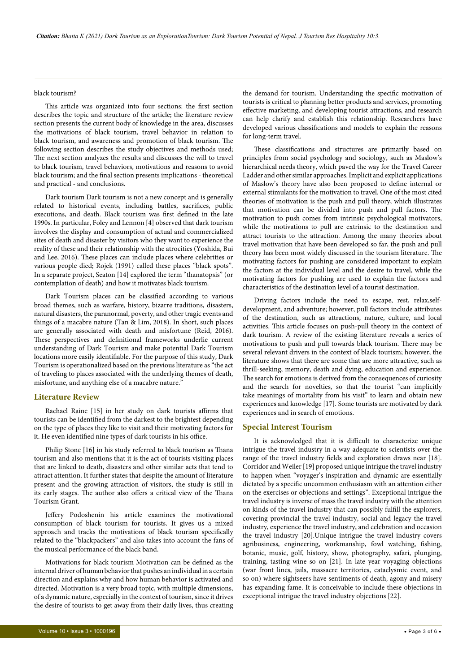#### black tourism?

This article was organized into four sections: the first section describes the topic and structure of the article; the literature review section presents the current body of knowledge in the area, discusses the motivations of black tourism, travel behavior in relation to black tourism, and awareness and promotion of black tourism. The following section describes the study objectives and methods used; The next section analyzes the results and discusses the will to travel to black tourism, travel behaviors, motivations and reasons to avoid black tourism; and the final section presents implications - theoretical and practical - and conclusions.

Dark tourism Dark tourism is not a new concept and is generally related to historical events, including battles, sacrifices, public executions, and death. Black tourism was first defined in the late 1990s. In particular, Foley and Lennon [4] observed that dark tourism involves the display and consumption of actual and commercialized sites of death and disaster by visitors who they want to experience the reality of these and their relationship with the atrocities (Yoshida, Bui and Lee, 2016). These places can include places where celebrities or various people died; Rojek (1991) called these places "black spots". In a separate project, Seaton [14] explored the term "thanatopsis" (or contemplation of death) and how it motivates black tourism.

Dark Tourism places can be classified according to various broad themes, such as warfare, history, bizarre traditions, disasters, natural disasters, the paranormal, poverty, and other tragic events and things of a macabre nature (Tan & Lim, 2018). In short, such places are generally associated with death and misfortune (Reid, 2016). These perspectives and definitional frameworks underlie current understanding of Dark Tourism and make potential Dark Tourism locations more easily identifiable. For the purpose of this study, Dark Tourism is operationalized based on the previous literature as "the act of traveling to places associated with the underlying themes of death, misfortune, and anything else of a macabre nature."

#### **Literature Review**

Rachael Raine [15] in her study on dark tourists affirms that tourists can be identified from the darkest to the brightest depending on the type of places they like to visit and their motivating factors for it. He even identified nine types of dark tourists in his office.

Philip Stone [16] in his study referred to black tourism as Thana tourism and also mentions that it is the act of tourists visiting places that are linked to death, disasters and other similar acts that tend to attract attention. It further states that despite the amount of literature present and the growing attraction of visitors, the study is still in its early stages. The author also offers a critical view of the Thana Tourism Grant.

Jeffery Podoshenin his article examines the motivational consumption of black tourism for tourists. It gives us a mixed approach and tracks the motivations of black tourism specifically related to the "blackpackers" and also takes into account the fans of the musical performance of the black band.

Motivations for black tourism Motivation can be defined as the internal driver of human behavior that pushes an individual in a certain direction and explains why and how human behavior is activated and directed. Motivation is a very broad topic, with multiple dimensions, of a dynamic nature, especially in the context of tourism, since it drives the desire of tourists to get away from their daily lives, thus creating

the demand for tourism. Understanding the specific motivation of tourists is critical to planning better products and services, promoting effective marketing, and developing tourist attractions, and research can help clarify and establish this relationship. Researchers have developed various classifications and models to explain the reasons for long-term travel.

These classifications and structures are primarily based on principles from social psychology and sociology, such as Maslow's hierarchical needs theory, which paved the way for the Travel Career Ladder and other similar approaches. Implicit and explicit applications of Maslow's theory have also been proposed to define internal or external stimulants for the motivation to travel. One of the most cited theories of motivation is the push and pull theory, which illustrates that motivation can be divided into push and pull factors. The motivation to push comes from intrinsic psychological motivators, while the motivations to pull are extrinsic to the destination and attract tourists to the attraction. Among the many theories about travel motivation that have been developed so far, the push and pull theory has been most widely discussed in the tourism literature. The motivating factors for pushing are considered important to explain the factors at the individual level and the desire to travel, while the motivating factors for pushing are used to explain the factors and characteristics of the destination level of a tourist destination.

Driving factors include the need to escape, rest, relax,selfdevelopment, and adventure; however, pull factors include attributes of the destination, such as attractions, nature, culture, and local activities. This article focuses on push-pull theory in the context of dark tourism. A review of the existing literature reveals a series of motivations to push and pull towards black tourism. There may be several relevant drivers in the context of black tourism; however, the literature shows that there are some that are more attractive, such as thrill-seeking, memory, death and dying, education and experience. The search for emotions is derived from the consequences of curiosity and the search for novelties, so that the tourist "can implicitly take meanings of mortality from his visit" to learn and obtain new experiences and knowledge [17]. Some tourists are motivated by dark experiences and in search of emotions.

#### **Special Interest Tourism**

It is acknowledged that it is difficult to characterize unique intrigue the travel industry in a way adequate to scientists over the range of the travel industry fields and exploration draws near [18]. Corridor and Weiler [19] proposed unique intrigue the travel industry to happen when "voyager's inspiration and dynamic are essentially dictated by a specific uncommon enthusiasm with an attention either on the exercises or objections and settings". Exceptional intrigue the travel industry is inverse of mass the travel industry with the attention on kinds of the travel industry that can possibly fulfill the explorers, covering provincial the travel industry, social and legacy the travel industry, experience the travel industry, and celebration and occasion the travel industry [20].Unique intrigue the travel industry covers agribusiness, engineering, workmanship, fowl watching, fishing, botanic, music, golf, history, show, photography, safari, plunging, training, tasting wine so on [21]. In late year voyaging objections (war front lines, jails, massacre territories, cataclysmic event, and so on) where sightseers have sentiments of death, agony and misery has expanding fame. It is conceivable to include these objections in exceptional intrigue the travel industry objections [22].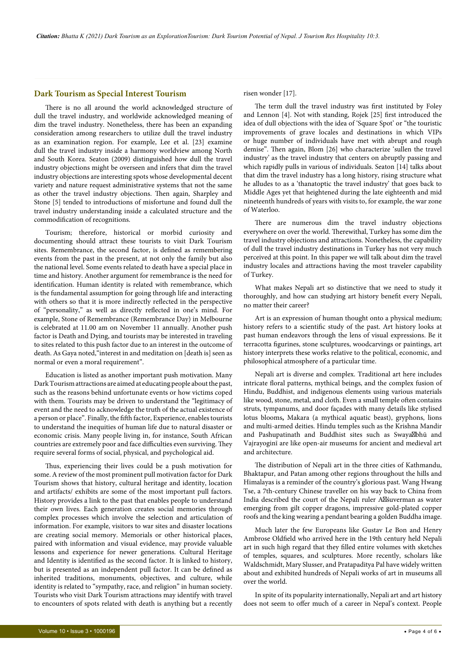#### **Dark Tourism as Special Interest Tourism**

There is no all around the world acknowledged structure of dull the travel industry, and worldwide acknowledged meaning of dim the travel industry. Nonetheless, there has been an expanding consideration among researchers to utilize dull the travel industry as an examination region. For example, Lee et al. [23] examine dull the travel industry inside a harmony worldview among North and South Korea. Seaton (2009) distinguished how dull the travel industry objections might be overseen and infers that dim the travel industry objections are interesting spots whose developmental decent variety and nature request administrative systems that not the same as other the travel industry objections. Then again, Sharpley and Stone [5] tended to introductions of misfortune and found dull the travel industry understanding inside a calculated structure and the commodification of recognitions.

Tourism; therefore, historical or morbid curiosity and documenting should attract these tourists to visit Dark Tourism sites. Remembrance, the second factor, is defined as remembering events from the past in the present, at not only the family but also the national level. Some events related to death have a special place in time and history. Another argument for remembrance is the need for identification. Human identity is related with remembrance, which is the fundamental assumption for going through life and interacting with others so that it is more indirectly reflected in the perspective of "personality," as well as directly reflected in one's mind. For example, Stone of Remembrance (Remembrance Day) in Melbourne is celebrated at 11.00 am on November 11 annually. Another push factor is Death and Dying, and tourists may be interested in traveling to sites related to this push factor due to an interest in the outcome of death. As Gaya noted,"interest in and meditation on [death is] seen as normal or even a moral requirement".

Education is listed as another important push motivation. Many Dark Tourism attractions are aimed at educating people about the past, such as the reasons behind unfortunate events or how victims coped with them. Tourists may be driven to understand the "legitimacy of event and the need to acknowledge the truth of the actual existence of a person or place". Finally, the fifth factor, Experience, enables tourists to understand the inequities of human life due to natural disaster or economic crisis. Many people living in, for instance, South African countries are extremely poor and face difficulties even surviving. They require several forms of social, physical, and psychological aid.

Thus, experiencing their lives could be a push motivation for some. A review of the most prominent pull motivation factor for Dark Tourism shows that history, cultural heritage and identity, location and artifacts/ exhibits are some of the most important pull factors. History provides a link to the past that enables people to understand their own lives. Each generation creates social memories through complex processes which involve the selection and articulation of information. For example, visitors to war sites and disaster locations are creating social memory. Memorials or other historical places, paired with information and visual evidence, may provide valuable lessons and experience for newer generations. Cultural Heritage and Identity is identified as the second factor. It is linked to history, but is presented as an independent pull factor. It can be defined as inherited traditions, monuments, objectives, and culture, while identity is related to "sympathy, race, and religion" in human society. Tourists who visit Dark Tourism attractions may identify with travel to encounters of spots related with death is anything but a recently

risen wonder [17].

The term dull the travel industry was first instituted by Foley and Lennon [4]. Not with standing, Rojek [25] first introduced the idea of dull objections with the idea of 'Square Spot' or "the touristic improvements of grave locales and destinations in which VIPs or huge number of individuals have met with abrupt and rough demise". Then again, Blom [26] who characterize 'sullen the travel industry' as the travel industry that centers on abruptly passing and which rapidly pulls in various of individuals. Seaton [14] talks about that dim the travel industry has a long history, rising structure what he alludes to as a 'thanatoptic the travel industry' that goes back to Middle Ages yet that heightened during the late eighteenth and mid nineteenth hundreds of years with visits to, for example, the war zone of Waterloo.

There are numerous dim the travel industry objections everywhere on over the world. Therewithal, Turkey has some dim the travel industry objections and attractions. Nonetheless, the capability of dull the travel industry destinations in Turkey has not very much perceived at this point. In this paper we will talk about dim the travel industry locales and attractions having the most traveler capability of Turkey.

What makes Nepali art so distinctive that we need to study it thoroughly, and how can studying art history benefit every Nepali, no matter their career?

Art is an expression of human thought onto a physical medium; history refers to a scientific study of the past. Art history looks at past human endeavors through the lens of visual expressions. Be it terracotta figurines, stone sculptures, woodcarvings or paintings, art history interprets these works relative to the political, economic, and philosophical atmosphere of a particular time.

Nepali art is diverse and complex. Traditional art here includes intricate floral patterns, mythical beings, and the complex fusion of Hindu, Buddhist, and indigenous elements using various materials like wood, stone, metal, and cloth. Even a small temple often contains struts, tympanums, and door façades with many details like stylised lotus blooms**,**  Makara (a mythical aquatic beast), gryphons, lions and multi-armed deities. Hindu temples such as the Krishna Mandir and Pashupatinath and Buddhist sites such as Swaya bhū and Vajrayoginī are like open-air museums for ancient and medieval art and architecture.

The distribution of Nepali art in the three cities of Kathmandu, Bhaktapur, and Patan among other regions throughout the hills and Himalayas is a reminder of the country's glorious past. Wang Hwang Tse, a 7th-century Chinese traveller on his way back to China from India described the court of the Nepali ruler A śuverman as water emerging from gilt copper dragons, impressive gold-plated copper roofs and the king wearing a pendant bearing a golden Buddha image.

Much later the few Europeans like Gustav Le Bon and Henry Ambrose Oldfield who arrived here in the 19th century held Nepali art in such high regard that they filled entire volumes with sketches of temples, squares, and sculptures. More recently, scholars like Waldschmidt, Mary Slusser, and Pratapaditya Pal have widely written about and exhibited hundreds of Nepali works of art in museums all over the world.

In spite of its popularity internationally, Nepali art and art history does not seem to offer much of a career in Nepal's context. People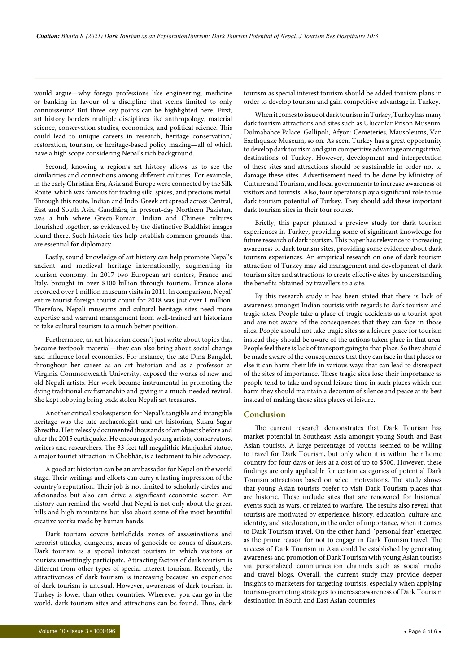would argue—why forego professions like engineering, medicine or banking in favour of a discipline that seems limited to only connoisseurs? But three key points can be highlighted here. First, art history borders multiple disciplines like anthropology, material science, conservation studies, economics, and political science. This could lead to unique careers in research, heritage conservation/ restoration, tourism, or heritage-based policy making—all of which have a high scope considering Nepal's rich background.

Second, knowing a region's art history allows us to see the similarities and connections among different cultures. For example, in the early Christian Era, Asia and Europe were connected by the Silk Route, which was famous for trading silk, spices, and precious metal. Through this route, Indian and Indo-Greek art spread across Central, East and South Asia. Gandhāra, in present-day Northern Pakistan, was a hub where Greco-Roman, Indian and Chinese cultures flourished together, as evidenced by the distinctive Buddhist images found there. Such historic ties help establish common grounds that are essential for diplomacy.

Lastly, sound knowledge of art history can help promote Nepal's ancient and medieval heritage internationally, augmenting its tourism economy. In 2017 two European art centers, France and Italy, brought in over \$100 billion through tourism. France alone recorded over 1 million museum visits in 2011. In comparison, Nepal' entire tourist foreign tourist count for 2018 was just over 1 million. Therefore, Nepali museums and cultural heritage sites need more expertise and warrant management from well-trained art historians to take cultural tourism to a much better position.

Furthermore, an art historian doesn't just write about topics that become textbook material—they can also bring about social change and influence local economies. For instance, the late Dina Bangdel, throughout her career as an art historian and as a professor at Virginia Commonwealth University, exposed the works of new and old Nepali artists. Her work became instrumental in promoting the dying traditional craftsmanship and giving it a much-needed revival. She kept lobbying bring back stolen Nepali art treasures.

Another critical spokesperson for Nepal's tangible and intangible heritage was the late archaeologist and art historian, Sukra Sagar Shrestha. He tirelessly documented thousands of art objects before and after the 2015 earthquake. He encouraged young artists, conservators, writers and researchers. The 33 feet tall megalithic Manjushrī statue, a major tourist attraction in Chobhār, is a testament to his advocacy.

A good art historian can be an ambassador for Nepal on the world stage. Their writings and efforts can carry a lasting impression of the country's reputation. Their job is not limited to scholarly circles and aficionados but also can drive a significant economic sector. Art history can remind the world that Nepal is not only about the green hills and high mountains but also about some of the most beautiful creative works made by human hands.

Dark tourism covers battlefields, zones of assassinations and terrorist attacks, dungeons, areas of genocide or zones of disasters. Dark tourism is a special interest tourism in which visitors or tourists unwittingly participate. Attracting factors of dark tourism is different from other types of special interest tourism. Recently, the attractiveness of dark tourism is increasing because an experience of dark tourism is unusual. However, awareness of dark tourism in Turkey is lower than other countries. Wherever you can go in the world, dark tourism sites and attractions can be found. Thus, dark

tourism as special interest tourism should be added tourism plans in order to develop tourism and gain competitive advantage in Turkey.

When it comes to issue of dark tourism in Turkey, Turkey has many dark tourism attractions and sites such as Ulucanlar Prison Museum, Dolmabahce Palace, Gallipoli, Afyon: Cemeteries, Mausoleums, Van Earthquake Museum, so on. As seen, Turkey has a great opportunity to develop dark tourism and gain competitive advantage amongst rival destinations of Turkey. However, development and interpretation of these sites and attractions should be sustainable in order not to damage these sites. Advertisement need to be done by Ministry of Culture and Tourism, and local governments to increase awareness of visitors and tourists. Also, tour operators play a significant role to use dark tourism potential of Turkey. They should add these important dark tourism sites in their tour routes.

Briefly, this paper planned a preview study for dark tourism experiences in Turkey, providing some of significant knowledge for future research of dark tourism. This paper has relevance to increasing awareness of dark tourism sites, providing some evidence about dark tourism experiences. An empirical research on one of dark tourism attraction of Turkey may aid management and development of dark tourism sites and attractions to create effective sites by understanding the benefits obtained by travellers to a site.

By this research study it has been stated that there is lack of awareness amongst Indian tourists with regards to dark tourism and tragic sites. People take a place of tragic accidents as a tourist spot and are not aware of the consequences that they can face in those sites. People should not take tragic sites as a leisure place for tourism instead they should be aware of the actions taken place in that area. People feel there is lack of transport going to that place. So they should be made aware of the consequences that they can face in that places or else it can harm their life in various ways that can lead to disrespect of the sites of importance. These tragic sites lose their importance as people tend to take and spend leisure time in such places which can harm they should maintain a decorum of silence and peace at its best instead of making those sites places of leisure.

### **Conclusion**

The current research demonstrates that Dark Tourism has market potential in Southeast Asia amongst young South and East Asian tourists. A large percentage of youths seemed to be willing to travel for Dark Tourism, but only when it is within their home country for four days or less at a cost of up to \$500. However, these findings are only applicable for certain categories of potential Dark Tourism attractions based on select motivations. The study shows that young Asian tourists prefer to visit Dark Tourism places that are historic. These include sites that are renowned for historical events such as wars, or related to warfare. The results also reveal that tourists are motivated by experience, history, education, culture and identity, and site/location, in the order of importance, when it comes to Dark Tourism travel. On the other hand, 'personal fear' emerged as the prime reason for not to engage in Dark Tourism travel. The success of Dark Tourism in Asia could be established by generating awareness and promotion of Dark Tourism with young Asian tourists via personalized communication channels such as social media and travel blogs. Overall, the current study may provide deeper insights to marketers for targeting tourists, especially when applying tourism-promoting strategies to increase awareness of Dark Tourism destination in South and East Asian countries.